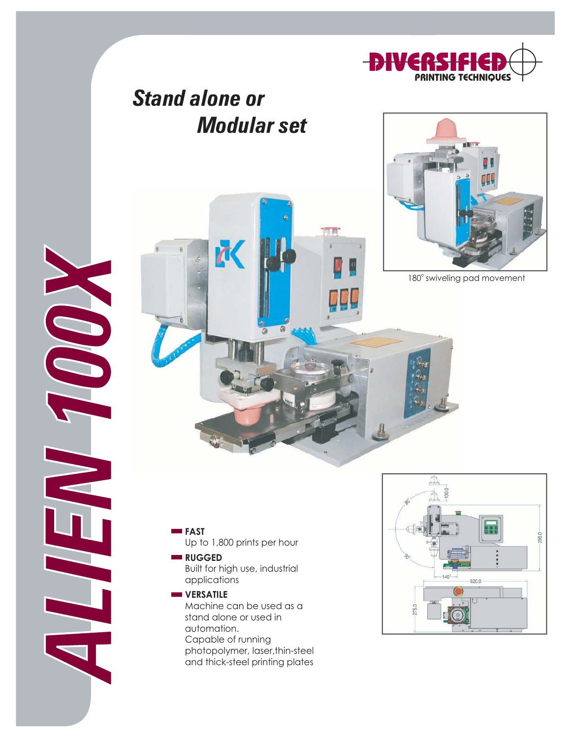

## Stand alone or Modular set

**M** 



180° swiveling pad movement

**FAST** Up to 1,800 prints per hour

ALIEN 100X

- **RUGGED** Built for high use, industrial applications
- **WERSATILE** Machine can be used as a stand alone or used in automation. Capable of running photopolymer, laser,thin-steel and thick-steel printing plates